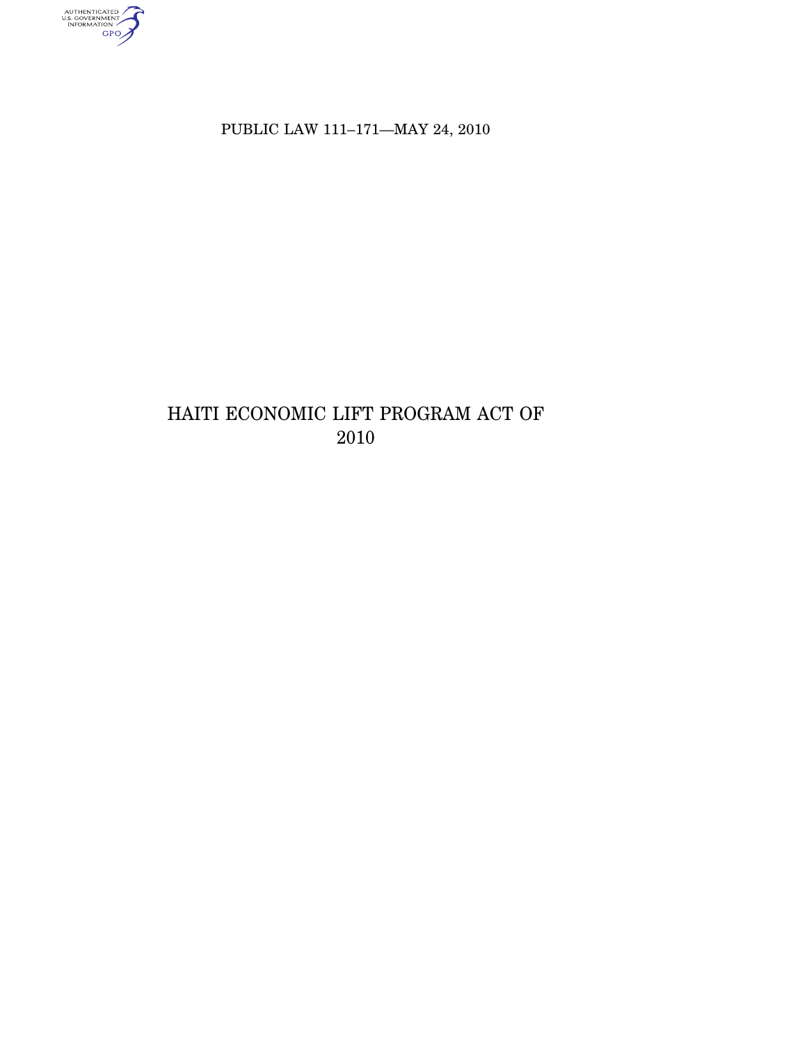AUTHENTICATED

PUBLIC LAW 111-171-MAY 24, 2010

# HAITI ECONOMIC LIFT PROGRAM ACT OF 2010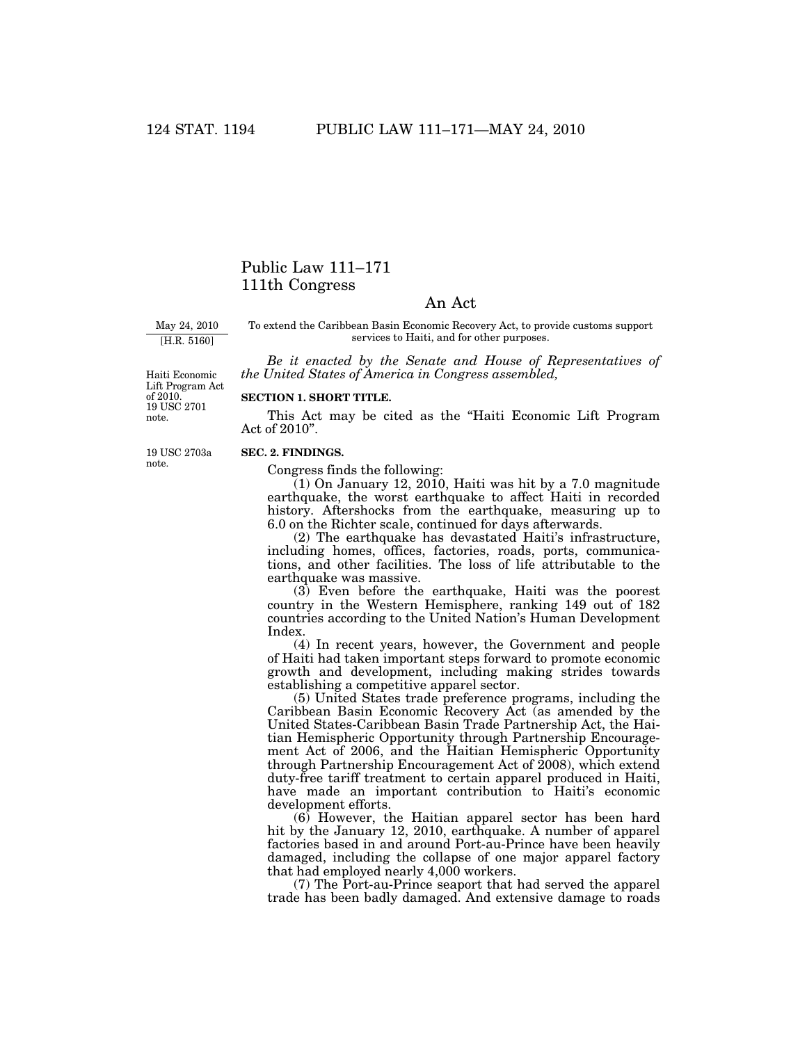# Public Law 111–171 111th Congress

# An Act

May 24, 2010 [H.R. 5160]

To extend the Caribbean Basin Economic Recovery Act, to provide customs support services to Haiti, and for other purposes.

*Be it enacted by the Senate and House of Representatives of the United States of America in Congress assembled,* 

of 2010.<br>19 USC 2701 note. Haiti Economic Lift Program Act

### **SECTION 1. SHORT TITLE.**

This Act may be cited as the ''Haiti Economic Lift Program Act of 2010''.

19 USC 2703a note.

#### **SEC. 2. FINDINGS.**

Congress finds the following:

 $(1)$  On January 12, 2010, Haiti was hit by a 7.0 magnitude earthquake, the worst earthquake to affect Haiti in recorded history. Aftershocks from the earthquake, measuring up to 6.0 on the Richter scale, continued for days afterwards.

(2) The earthquake has devastated Haiti's infrastructure, including homes, offices, factories, roads, ports, communications, and other facilities. The loss of life attributable to the earthquake was massive.

(3) Even before the earthquake, Haiti was the poorest country in the Western Hemisphere, ranking 149 out of 182 countries according to the United Nation's Human Development Index.

(4) In recent years, however, the Government and people of Haiti had taken important steps forward to promote economic growth and development, including making strides towards establishing a competitive apparel sector.

(5) United States trade preference programs, including the Caribbean Basin Economic Recovery Act (as amended by the United States-Caribbean Basin Trade Partnership Act, the Haitian Hemispheric Opportunity through Partnership Encouragement Act of 2006, and the Haitian Hemispheric Opportunity through Partnership Encouragement Act of 2008), which extend duty-free tariff treatment to certain apparel produced in Haiti, have made an important contribution to Haiti's economic development efforts.

(6) However, the Haitian apparel sector has been hard hit by the January 12, 2010, earthquake. A number of apparel factories based in and around Port-au-Prince have been heavily damaged, including the collapse of one major apparel factory that had employed nearly 4,000 workers.

(7) The Port-au-Prince seaport that had served the apparel trade has been badly damaged. And extensive damage to roads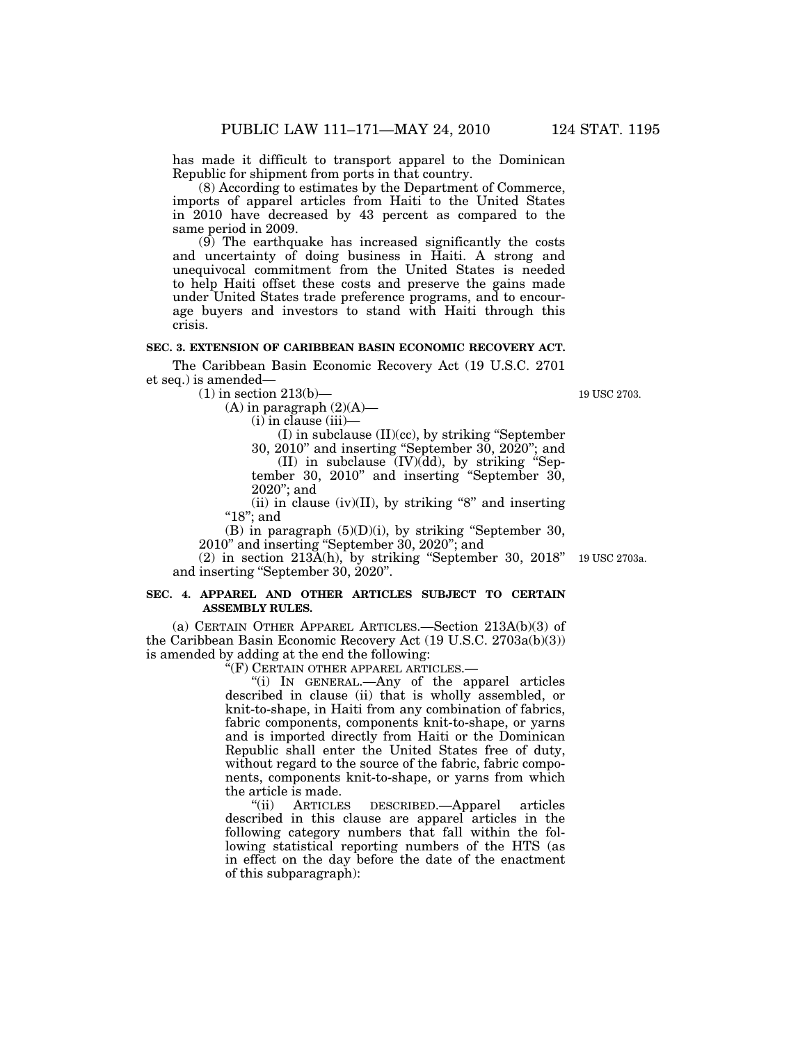has made it difficult to transport apparel to the Dominican Republic for shipment from ports in that country.

(8) According to estimates by the Department of Commerce, imports of apparel articles from Haiti to the United States in 2010 have decreased by 43 percent as compared to the same period in 2009.

(9) The earthquake has increased significantly the costs and uncertainty of doing business in Haiti. A strong and unequivocal commitment from the United States is needed to help Haiti offset these costs and preserve the gains made under United States trade preference programs, and to encourage buyers and investors to stand with Haiti through this crisis.

# **SEC. 3. EXTENSION OF CARIBBEAN BASIN ECONOMIC RECOVERY ACT.**

The Caribbean Basin Economic Recovery Act (19 U.S.C. 2701 et seq.) is amended—

 $(1)$  in section 213(b)-

 $(A)$  in paragraph  $(2)(A)$ —

(i) in clause (iii)—

(I) in subclause (II)(cc), by striking ''September

30, 2010'' and inserting ''September 30, 2020''; and

(II) in subclause  $(IV)(dd)$ , by striking "September 30, 2010'' and inserting ''September 30, 2020''; and

(ii) in clause (iv)(II), by striking "8" and inserting ''18''; and

(B) in paragraph  $(5)(D)(i)$ , by striking "September 30, 2010'' and inserting ''September 30, 2020''; and

 $(2)$  in section  $213\overline{A(h)}$ , by striking "September 30, 2018" and inserting ''September 30, 2020''.

# **SEC. 4. APPAREL AND OTHER ARTICLES SUBJECT TO CERTAIN ASSEMBLY RULES.**

(a) CERTAIN OTHER APPAREL ARTICLES.—Section 213A(b)(3) of the Caribbean Basin Economic Recovery Act (19 U.S.C. 2703a(b)(3)) is amended by adding at the end the following:

''(F) CERTAIN OTHER APPAREL ARTICLES.—

''(i) IN GENERAL.—Any of the apparel articles described in clause (ii) that is wholly assembled, or knit-to-shape, in Haiti from any combination of fabrics, fabric components, components knit-to-shape, or yarns and is imported directly from Haiti or the Dominican Republic shall enter the United States free of duty, without regard to the source of the fabric, fabric components, components knit-to-shape, or yarns from which

the article is made.<br>
"(ii) ARTICLES DESCRIBED.—Apparel articles described in this clause are apparel articles in the following category numbers that fall within the following statistical reporting numbers of the HTS (as in effect on the day before the date of the enactment of this subparagraph):

19 USC 2703a.

19 USC 2703.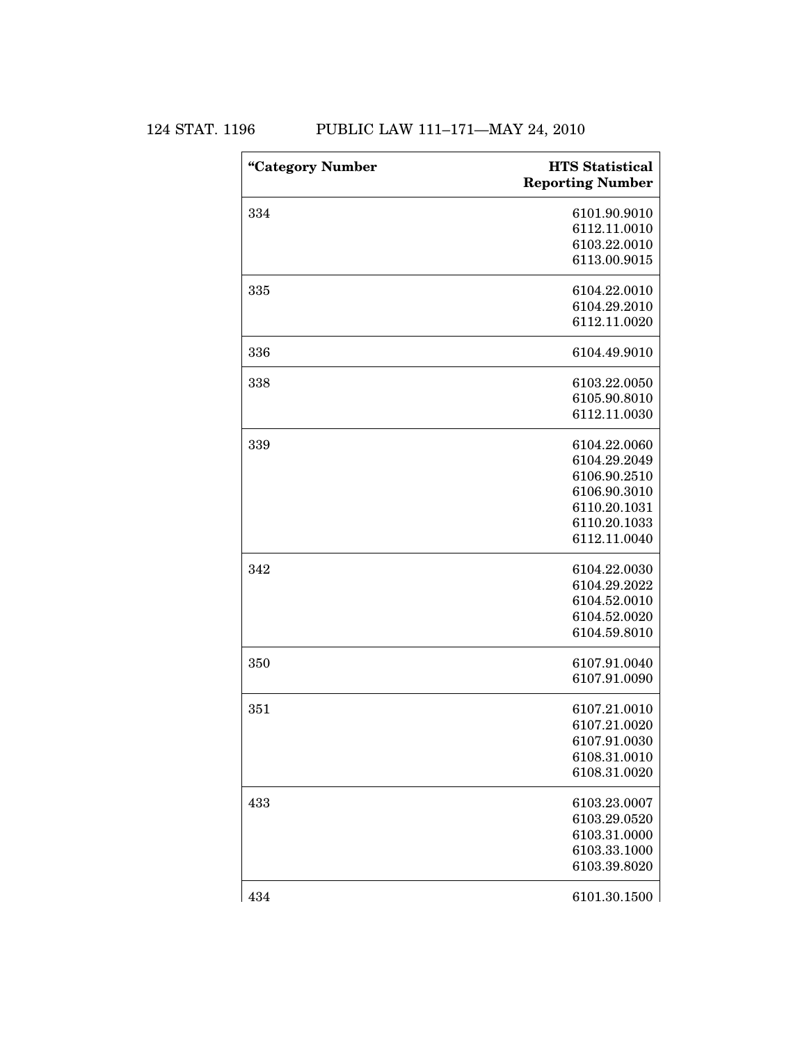124 STAT. 1196 PUBLIC LAW 111-171-MAY 24, 2010

| "Category Number | <b>HTS</b> Statistical<br><b>Reporting Number</b> |
|------------------|---------------------------------------------------|
| 334              | 6101.90.9010                                      |
|                  | 6112.11.0010                                      |
|                  | 6103.22.0010                                      |
|                  | 6113.00.9015                                      |
| 335              | 6104.22.0010                                      |
|                  | 6104.29.2010                                      |
|                  | 6112.11.0020                                      |
| 336              | 6104.49.9010                                      |
| 338              | 6103.22.0050                                      |
|                  | 6105.90.8010                                      |
|                  | 6112.11.0030                                      |
| 339              | 6104.22.0060                                      |
|                  | 6104.29.2049                                      |
|                  | 6106.90.2510                                      |
|                  | 6106.90.3010                                      |
|                  | 6110.20.1031                                      |
|                  | 6110.20.1033                                      |
|                  | 6112.11.0040                                      |
| 342              | 6104.22.0030                                      |
|                  | 6104.29.2022                                      |
|                  | 6104.52.0010                                      |
|                  | 6104.52.0020                                      |
|                  | 6104.59.8010                                      |
| 350              | 6107.91.0040                                      |
|                  | 6107.91.0090                                      |
| 351              | 6107.21.0010                                      |
|                  | 6107.21.0020                                      |
|                  | 6107.91.0030                                      |
|                  | 6108.31.0010                                      |
|                  | 6108.31.0020                                      |
| 433              | 6103.23.0007                                      |
|                  | 6103.29.0520                                      |
|                  | 6103.31.0000                                      |
|                  | 6103.33.1000                                      |
|                  | 6103.39.8020                                      |
| 434              | 6101.30.1500                                      |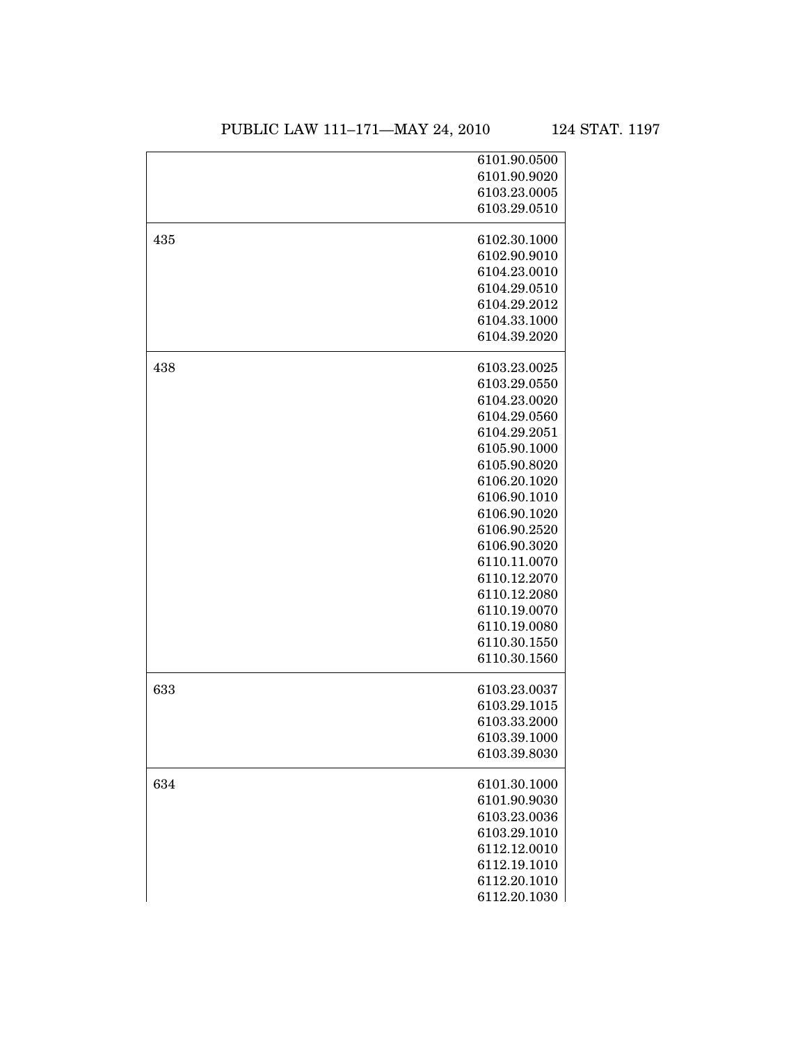|     | 6101.90.0500                 |
|-----|------------------------------|
|     | 6101.90.9020                 |
|     | 6103.23.0005                 |
|     | 6103.29.0510                 |
| 435 | 6102.30.1000                 |
|     | 6102.90.9010                 |
|     | 6104.23.0010                 |
|     | 6104.29.0510                 |
|     | 6104.29.2012                 |
|     | 6104.33.1000                 |
|     | 6104.39.2020                 |
| 438 | 6103.23.0025                 |
|     | 6103.29.0550                 |
|     | 6104.23.0020                 |
|     | 6104.29.0560                 |
|     | 6104.29.2051                 |
|     | 6105.90.1000                 |
|     | 6105.90.8020                 |
|     | 6106.20.1020                 |
|     | 6106.90.1010                 |
|     | 6106.90.1020                 |
|     | 6106.90.2520                 |
|     | 6106.90.3020                 |
|     | 6110.11.0070                 |
|     | 6110.12.2070                 |
|     | 6110.12.2080                 |
|     | 6110.19.0070                 |
|     | 6110.19.0080<br>6110.30.1550 |
|     | 6110.30.1560                 |
| 633 | 6103.23.0037                 |
|     | 6103.29.1015                 |
|     | 6103.33.2000                 |
|     | 6103.39.1000                 |
|     | 6103.39.8030                 |
| 634 | 6101.30.1000                 |
|     | 6101.90.9030                 |
|     | 6103.23.0036                 |
|     | 6103.29.1010                 |
|     | 6112.12.0010                 |
|     | 6112.19.1010                 |
|     | 6112.20.1010                 |
|     | 6112.20.1030                 |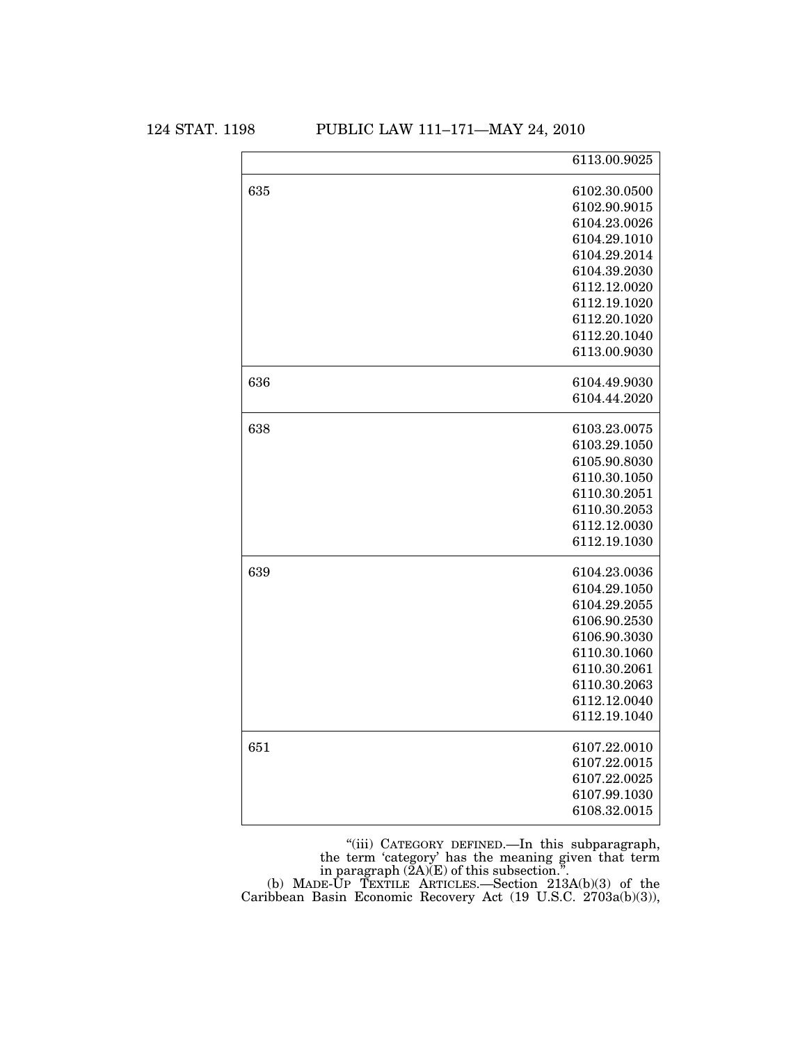124 STAT. 1198 PUBLIC LAW 111–171—MAY 24, 2010

|     | 6113.00.9025 |
|-----|--------------|
| 635 | 6102.30.0500 |
|     | 6102.90.9015 |
|     | 6104.23.0026 |
|     | 6104.29.1010 |
|     | 6104.29.2014 |
|     | 6104.39.2030 |
|     | 6112.12.0020 |
|     | 6112.19.1020 |
|     | 6112.20.1020 |
|     | 6112.20.1040 |
|     | 6113.00.9030 |
| 636 | 6104.49.9030 |
|     | 6104.44.2020 |
| 638 | 6103.23.0075 |
|     | 6103.29.1050 |
|     | 6105.90.8030 |
|     | 6110.30.1050 |
|     | 6110.30.2051 |
|     | 6110.30.2053 |
|     | 6112.12.0030 |
|     | 6112.19.1030 |
| 639 | 6104.23.0036 |
|     | 6104.29.1050 |
|     | 6104.29.2055 |
|     | 6106.90.2530 |
|     | 6106.90.3030 |
|     | 6110.30.1060 |
|     | 6110.30.2061 |
|     | 6110.30.2063 |
|     | 6112.12.0040 |
|     | 6112.19.1040 |
| 651 | 6107.22.0010 |
|     | 6107.22.0015 |
|     | 6107.22.0025 |
|     | 6107.99.1030 |
|     | 6108.32.0015 |
|     |              |

''(iii) CATEGORY DEFINED.—In this subparagraph, the term 'category' has the meaning given that term in paragraph  $(2A)(E)$  of this subsection.". (b) MADE-UP TEXTILE ARTICLES.—Section 213A(b)(3) of the

Caribbean Basin Economic Recovery Act (19 U.S.C. 2703a(b)(3)),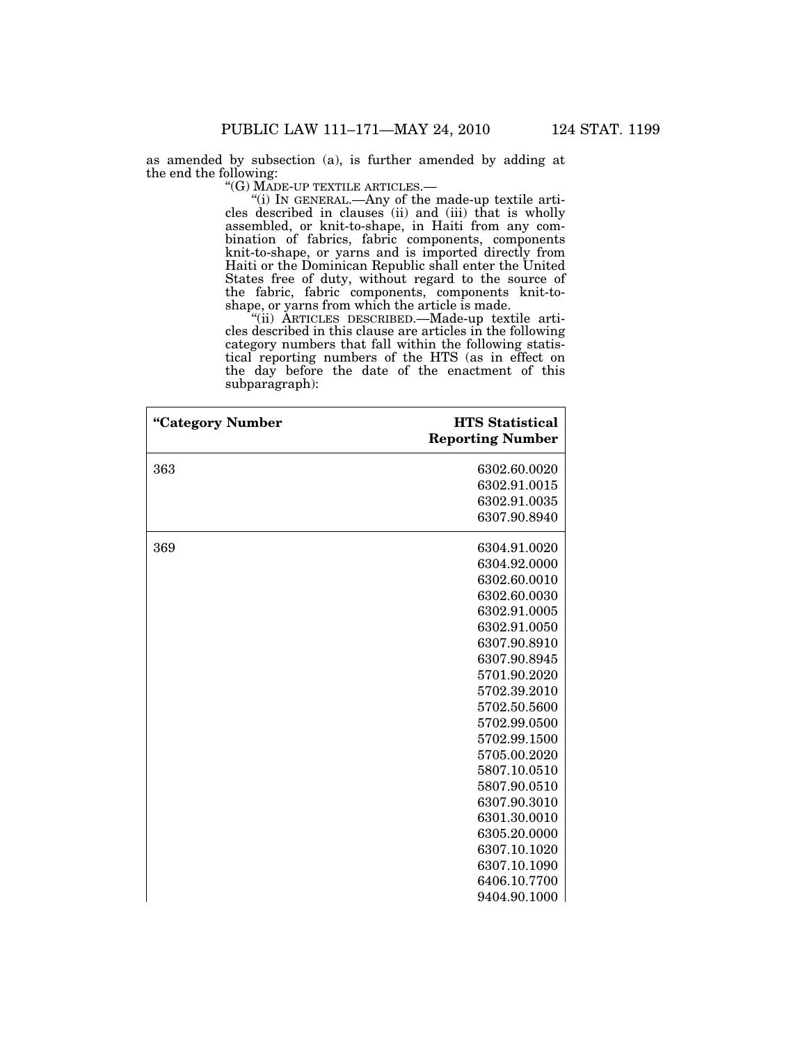as amended by subsection (a), is further amended by adding at the end the following:

''(G) MADE-UP TEXTILE ARTICLES.—

''(i) IN GENERAL.—Any of the made-up textile articles described in clauses (ii) and (iii) that is wholly assembled, or knit-to-shape, in Haiti from any combination of fabrics, fabric components, components knit-to-shape, or yarns and is imported directly from Haiti or the Dominican Republic shall enter the United States free of duty, without regard to the source of the fabric, fabric components, components knit-toshape, or yarns from which the article is made.

''(ii) ARTICLES DESCRIBED.—Made-up textile articles described in this clause are articles in the following category numbers that fall within the following statistical reporting numbers of the HTS (as in effect on the day before the date of the enactment of this subparagraph):

| "Category Number | <b>HTS Statistical</b><br><b>Reporting Number</b> |
|------------------|---------------------------------------------------|
| 363              | 6302.60.0020                                      |
|                  | 6302.91.0015                                      |
|                  | 6302.91.0035                                      |
|                  | 6307.90.8940                                      |
| 369              | 6304.91.0020                                      |
|                  | 6304.92.0000                                      |
|                  | 6302.60.0010                                      |
|                  | 6302.60.0030                                      |
|                  | 6302.91.0005                                      |
|                  | 6302.91.0050                                      |
|                  | 6307.90.8910                                      |
|                  | 6307.90.8945                                      |
|                  | 5701.90.2020                                      |
|                  | 5702.39.2010                                      |
|                  | 5702.50.5600                                      |
|                  | 5702.99.0500                                      |
|                  | 5702.99.1500                                      |
|                  | 5705.00.2020                                      |
|                  | 5807.10.0510                                      |
|                  | 5807.90.0510                                      |
|                  | 6307.90.3010                                      |
|                  | 6301.30.0010                                      |
|                  | 6305.20.0000                                      |
|                  | 6307.10.1020                                      |
|                  | 6307.10.1090                                      |
|                  | 6406.10.7700                                      |
|                  | 9404.90.1000                                      |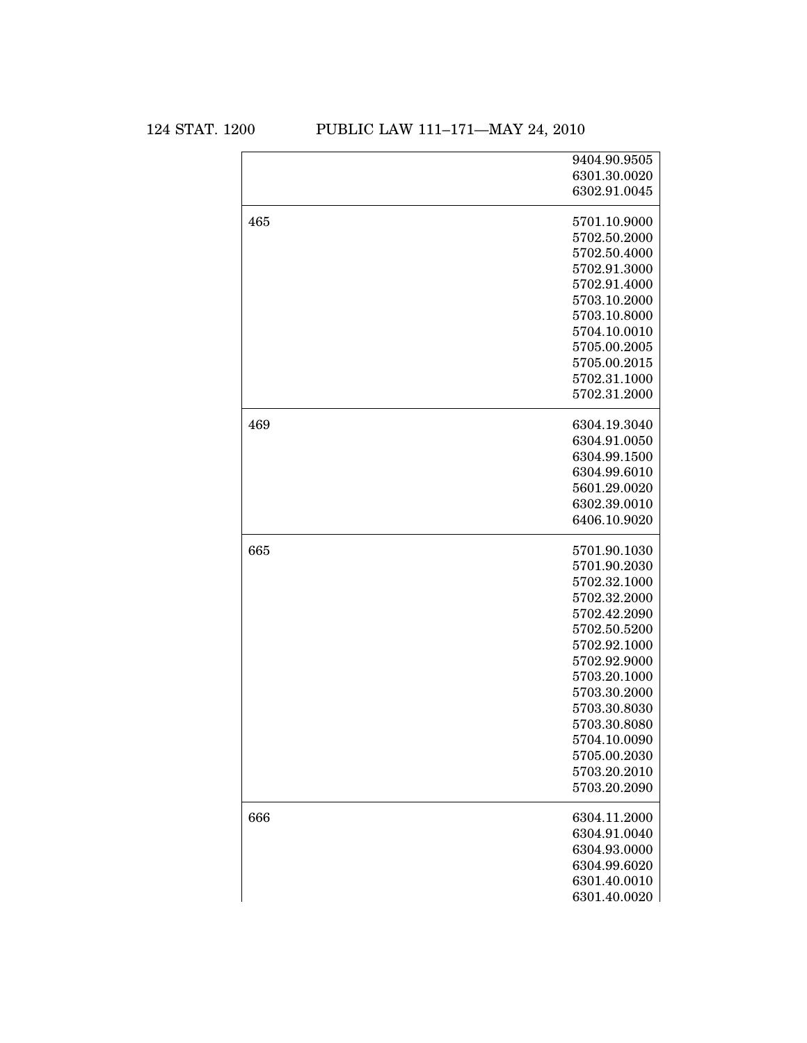124 STAT. 1200 PUBLIC LAW 111-171-MAY 24, 2010

|     | 9404.90.9505 |
|-----|--------------|
|     | 6301.30.0020 |
|     | 6302.91.0045 |
| 465 | 5701.10.9000 |
|     | 5702.50.2000 |
|     | 5702.50.4000 |
|     | 5702.91.3000 |
|     | 5702.91.4000 |
|     | 5703.10.2000 |
|     | 5703.10.8000 |
|     | 5704.10.0010 |
|     | 5705.00.2005 |
|     | 5705.00.2015 |
|     | 5702.31.1000 |
|     | 5702.31.2000 |
| 469 | 6304.19.3040 |
|     | 6304.91.0050 |
|     | 6304.99.1500 |
|     | 6304.99.6010 |
|     | 5601.29.0020 |
|     | 6302.39.0010 |
|     | 6406.10.9020 |
| 665 | 5701.90.1030 |
|     | 5701.90.2030 |
|     | 5702.32.1000 |
|     | 5702.32.2000 |
|     | 5702.42.2090 |
|     | 5702.50.5200 |
|     | 5702.92.1000 |
|     | 5702.92.9000 |
|     | 5703.20.1000 |
|     | 5703.30.2000 |
|     | 5703.30.8030 |
|     | 5703.30.8080 |
|     | 5704.10.0090 |
|     | 5705.00.2030 |
|     | 5703.20.2010 |
|     | 5703.20.2090 |
| 666 | 6304.11.2000 |
|     | 6304.91.0040 |
|     | 6304.93.0000 |
|     | 6304.99.6020 |
|     | 6301.40.0010 |
|     | 6301.40.0020 |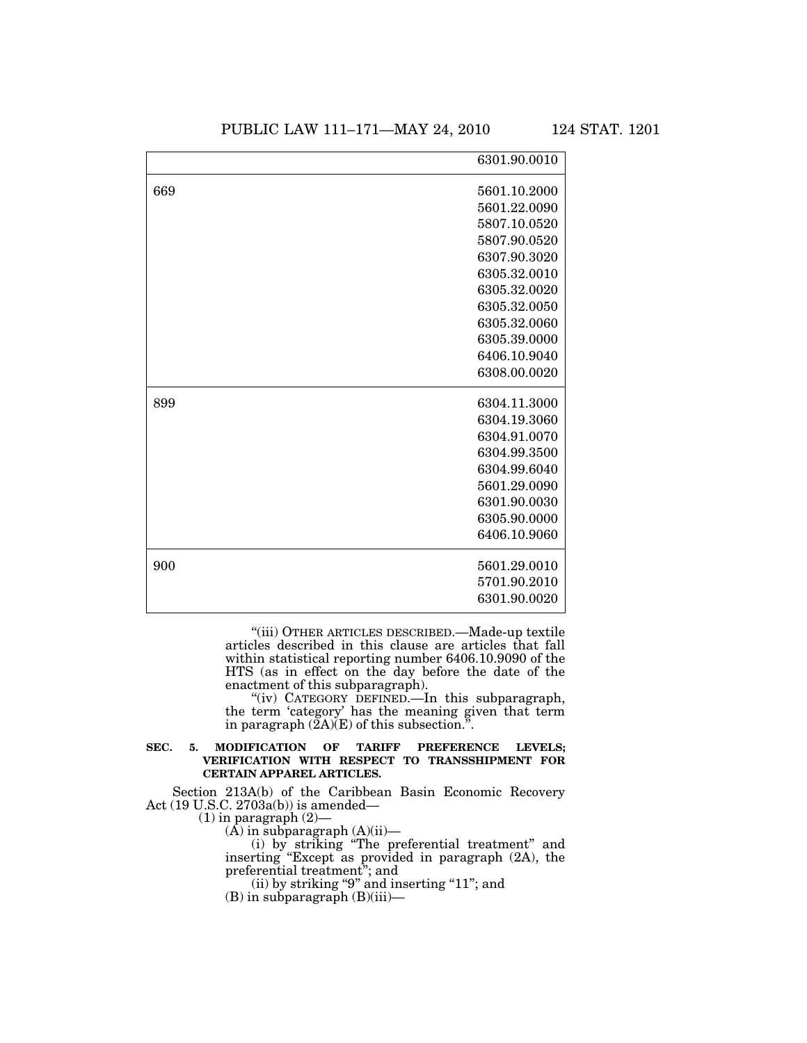|     | 6301.90.0010 |
|-----|--------------|
| 669 | 5601.10.2000 |
|     | 5601.22.0090 |
|     | 5807.10.0520 |
|     | 5807.90.0520 |
|     | 6307.90.3020 |
|     | 6305.32.0010 |
|     | 6305.32.0020 |
|     | 6305.32.0050 |
|     | 6305.32.0060 |
|     | 6305.39.0000 |
|     | 6406.10.9040 |
|     | 6308.00.0020 |
| 899 | 6304.11.3000 |
|     | 6304.19.3060 |
|     | 6304.91.0070 |
|     | 6304.99.3500 |
|     | 6304.99.6040 |
|     | 5601.29.0090 |
|     | 6301.90.0030 |
|     | 6305.90.0000 |
|     | 6406.10.9060 |
| 900 | 5601.29.0010 |
|     | 5701.90.2010 |
|     | 6301.90.0020 |
|     |              |

''(iii) OTHER ARTICLES DESCRIBED.—Made-up textile articles described in this clause are articles that fall within statistical reporting number 6406.10.9090 of the HTS (as in effect on the day before the date of the enactment of this subparagraph).

''(iv) CATEGORY DEFINED.—In this subparagraph, the term 'category' has the meaning given that term in paragraph  $(\tilde{Z}A)(E)$  of this subsection.".

### **SEC. 5. MODIFICATION OF TARIFF PREFERENCE LEVELS; VERIFICATION WITH RESPECT TO TRANSSHIPMENT FOR CERTAIN APPAREL ARTICLES.**

Section 213A(b) of the Caribbean Basin Economic Recovery Act (19 U.S.C. 2703a(b)) is amended—

(1) in paragraph (2)—

 $(A)$  in subparagraph  $(A)(ii)$ —

(i) by striking ''The preferential treatment'' and inserting ''Except as provided in paragraph (2A), the preferential treatment''; and

(ii) by striking "9" and inserting "11"; and

(B) in subparagraph (B)(iii)—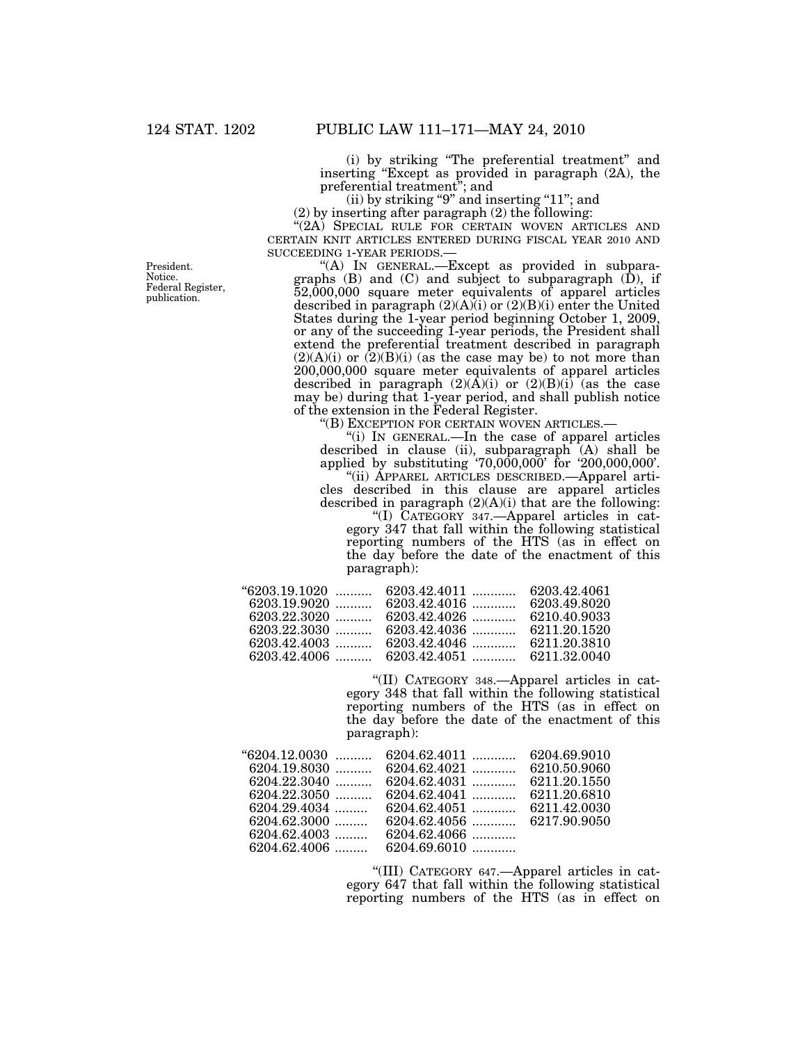(i) by striking ''The preferential treatment'' and inserting ''Except as provided in paragraph (2A), the preferential treatment''; and

 $(ii)$  by striking "9" and inserting "11"; and

(2) by inserting after paragraph (2) the following:

"(2A) SPECIAL RULE FOR CERTAIN WOVEN ARTICLES AND CERTAIN KNIT ARTICLES ENTERED DURING FISCAL YEAR 2010 AND SUCCEEDING 1-YEAR PERIODS.—<br>"(A) IN GENERAL.—Except as provided in subpara-

graphs (B) and (C) and subject to subparagraph (D), if 52,000,000 square meter equivalents of apparel articles described in paragraph  $(2)(A)(i)$  or  $(2)(B)(i)$  enter the United States during the 1-year period beginning October 1, 2009, or any of the succeeding 1-year periods, the President shall extend the preferential treatment described in paragraph  $(2)(A)(i)$  or  $(2)(B)(i)$  (as the case may be) to not more than 200,000,000 square meter equivalents of apparel articles described in paragraph  $(2)(\overline{A})(i)$  or  $(2)(\overline{B})(i)$  (as the case may be) during that 1-year period, and shall publish notice of the extension in the Federal Register.

''(B) EXCEPTION FOR CERTAIN WOVEN ARTICLES.—

''(i) IN GENERAL.—In the case of apparel articles described in clause (ii), subparagraph (A) shall be applied by substituting '70,000,000' for '200,000,000'.

''(ii) APPAREL ARTICLES DESCRIBED.—Apparel articles described in this clause are apparel articles described in paragraph  $(2)(A)(i)$  that are the following: ''(I) CATEGORY 347.—Apparel articles in category 347 that fall within the following statistical reporting numbers of the HTS (as in effect on the day before the date of the enactment of this paragraph):

|                | $6203.19.1020$ , $6203.42.4011$ , $6203.42.4061$ |  |
|----------------|--------------------------------------------------|--|
| $6203.19.9020$ |                                                  |  |
| $6203.22.3020$ |                                                  |  |
| 6203.22.3030   |                                                  |  |
| $6203.42.4003$ |                                                  |  |
|                | 6203.42.4006  6203.42.4051  6211.32.0040         |  |

''(II) CATEGORY 348.—Apparel articles in category 348 that fall within the following statistical reporting numbers of the HTS (as in effect on the day before the date of the enactment of this paragraph):

| $"6204.12.0030$<br>$6204.19.8030$<br>$6204.22.3040$<br>$6204.22.3050$<br>$6204.29.4034$<br>$6204.62.3000$ | $6204.62.4011$<br>$6204.62.4021$<br>$6204.62.4031$<br>$6204.62.4041$<br>$6204.62.4051$ | 6204.69.9010<br>6210.50.9060<br>6211.20.1550<br>6211.20.6810<br>6211.42.0030 |
|-----------------------------------------------------------------------------------------------------------|----------------------------------------------------------------------------------------|------------------------------------------------------------------------------|
| $6204.62.4003$<br>$6204.62.4006$                                                                          | 6204.62.4066<br>$6204.69.6010$                                                         |                                                                              |

''(III) CATEGORY 647.—Apparel articles in category 647 that fall within the following statistical reporting numbers of the HTS (as in effect on

President. Notice. Federal Register, publication.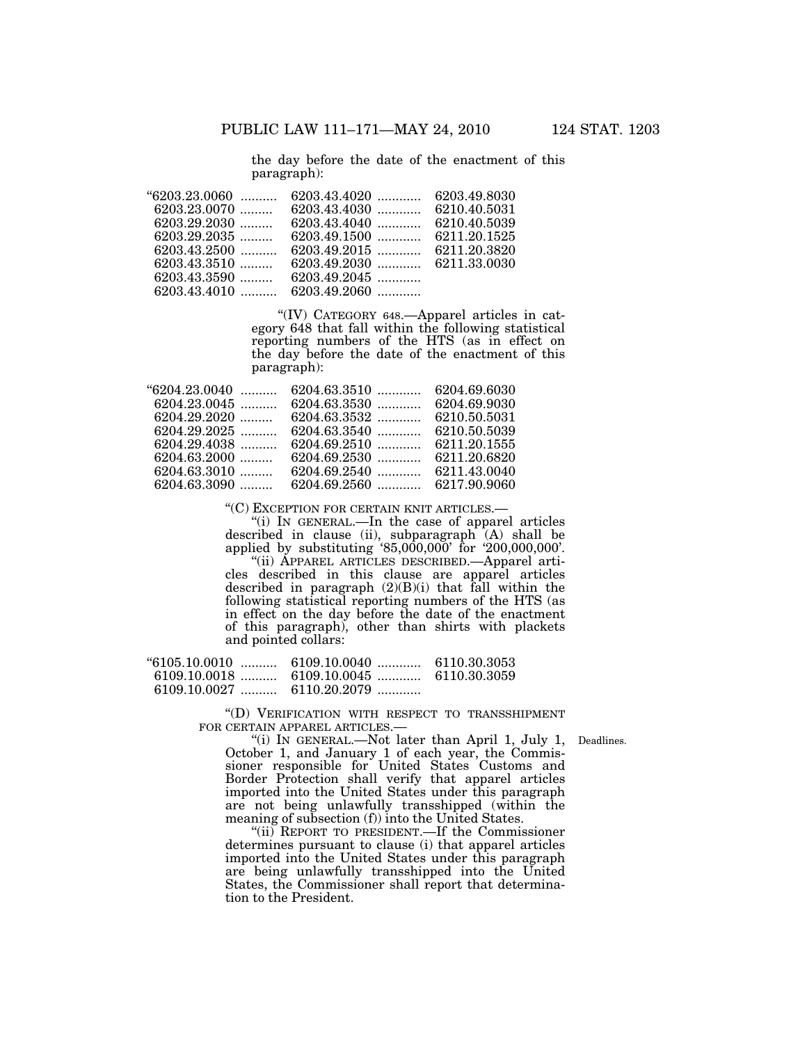the day before the date of the enactment of this paragraph):

| $"6203.23.0060$ |                |  |
|-----------------|----------------|--|
| $6203.23.0070$  |                |  |
| $6203.29.2030$  |                |  |
| $6203.29.2035$  |                |  |
| $6203.43.2500$  |                |  |
| $6203.43.3510$  |                |  |
| $6203.43.3590$  | $6203.49.2045$ |  |
| $6203.43.4010$  | $6203.49.2060$ |  |

''(IV) CATEGORY 648.—Apparel articles in category 648 that fall within the following statistical reporting numbers of the HTS (as in effect on the day before the date of the enactment of this paragraph):

| $"6204.23.0040$ | $6204.63.3510$ | 6204.69.6030 |
|-----------------|----------------|--------------|
| $6204.23.0045$  | $6204.63.3530$ | 6204.69.9030 |
| $6204.29.2020$  | $6204.63.3532$ | 6210.50.5031 |
| $6204.29.2025$  | $6204.63.3540$ | 6210.50.5039 |
| $6204.29.4038$  | $6204.69.2510$ | 6211.20.1555 |
| $6204.63.2000$  | $6204.69.2530$ | 6211.20.6820 |
| $6204.63.3010$  | $6204.69.2540$ | 6211.43.0040 |
| $6204.63.3090$  |                |              |
|                 |                |              |

''(C) EXCEPTION FOR CERTAIN KNIT ARTICLES.— ''(i) IN GENERAL.—In the case of apparel articles described in clause (ii), subparagraph (A) shall be applied by substituting '85,000,000' for '200,000,000'.

''(ii) APPAREL ARTICLES DESCRIBED.—Apparel articles described in this clause are apparel articles described in paragraph  $(2)(B)(i)$  that fall within the following statistical reporting numbers of the HTS (as in effect on the day before the date of the enactment of this paragraph), other than shirts with plackets and pointed collars:

| $"6105.10.0010$ | 6109.10.0040                             | 6110.30.3053 |
|-----------------|------------------------------------------|--------------|
|                 | 6109.10.0018  6109.10.0045  6110.30.3059 |              |
| 6109.10.0027    | 6110.20.2079                             |              |

''(D) VERIFICATION WITH RESPECT TO TRANSSHIPMENT FOR CERTAIN APPAREL ARTICLES.—

"(i) IN GENERAL.—Not later than April 1, July 1, Deadlines. October 1, and January 1 of each year, the Commissioner responsible for United States Customs and Border Protection shall verify that apparel articles imported into the United States under this paragraph are not being unlawfully transshipped (within the meaning of subsection (f)) into the United States.

"(ii) REPORT TO PRESIDENT.—If the Commissioner determines pursuant to clause (i) that apparel articles imported into the United States under this paragraph are being unlawfully transshipped into the United States, the Commissioner shall report that determination to the President.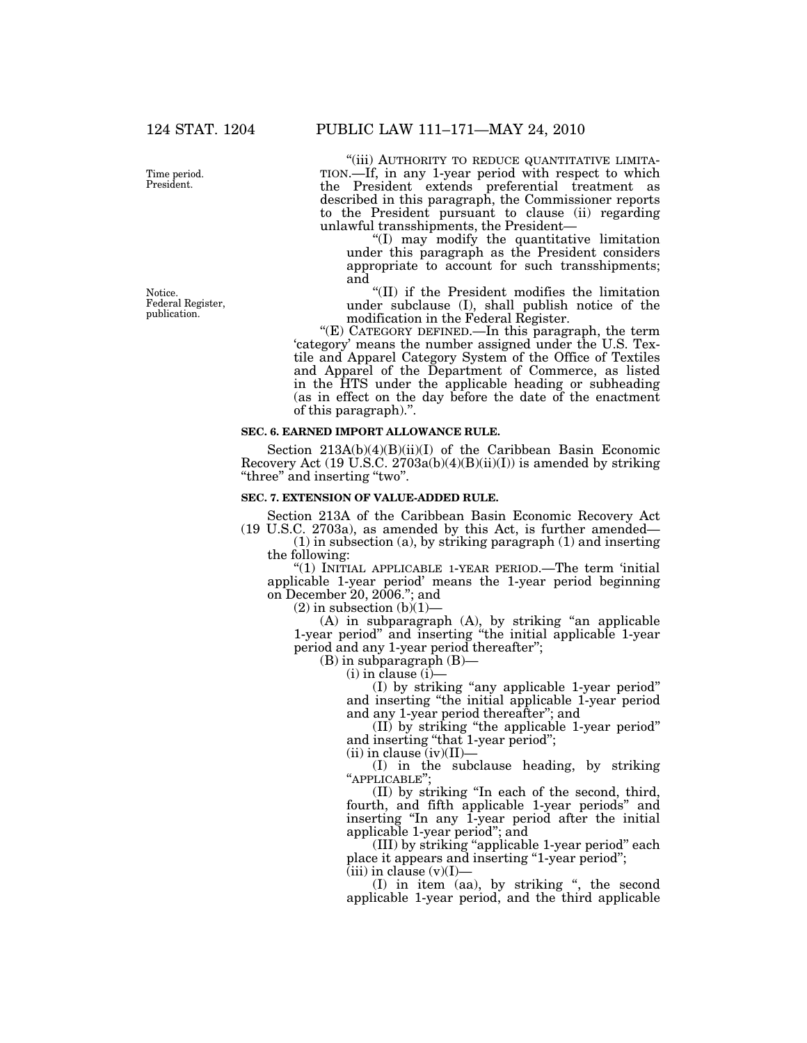Notice. Federal Register, publication.

''(iii) AUTHORITY TO REDUCE QUANTITATIVE LIMITA- TION.—If, in any 1-year period with respect to which the President extends preferential treatment as described in this paragraph, the Commissioner reports to the President pursuant to clause (ii) regarding unlawful transshipments, the President—

''(I) may modify the quantitative limitation under this paragraph as the President considers appropriate to account for such transshipments; and

''(II) if the President modifies the limitation under subclause (I), shall publish notice of the modification in the Federal Register.

''(E) CATEGORY DEFINED.—In this paragraph, the term 'category' means the number assigned under the U.S. Textile and Apparel Category System of the Office of Textiles and Apparel of the Department of Commerce, as listed in the HTS under the applicable heading or subheading (as in effect on the day before the date of the enactment of this paragraph).''.

#### **SEC. 6. EARNED IMPORT ALLOWANCE RULE.**

Section 213A(b)(4)(B)(ii)(I) of the Caribbean Basin Economic Recovery Act (19 U.S.C. 2703a(b)(4)(B)(ii)(I)) is amended by striking ''three'' and inserting ''two''.

# **SEC. 7. EXTENSION OF VALUE-ADDED RULE.**

Section 213A of the Caribbean Basin Economic Recovery Act (19 U.S.C. 2703a), as amended by this Act, is further amended—

(1) in subsection (a), by striking paragraph (1) and inserting the following:

''(1) INITIAL APPLICABLE 1-YEAR PERIOD.—The term 'initial applicable 1-year period' means the 1-year period beginning on December 20, 2006.''; and

 $(2)$  in subsection  $(b)(1)$ –

(A) in subparagraph (A), by striking ''an applicable 1-year period'' and inserting ''the initial applicable 1-year period and any 1-year period thereafter'';

(B) in subparagraph (B)—

(i) in clause (i)—

(I) by striking ''any applicable 1-year period'' and inserting ''the initial applicable 1-year period and any 1-year period thereafter''; and

(II) by striking ''the applicable 1-year period'' and inserting ''that 1-year period'';

 $(ii)$  in clause  $(iv)(II)$ 

(I) in the subclause heading, by striking ''APPLICABLE'';

(II) by striking ''In each of the second, third, fourth, and fifth applicable 1-year periods'' and inserting ''In any 1-year period after the initial applicable 1-year period''; and

(III) by striking ''applicable 1-year period'' each place it appears and inserting ''1-year period'';

 $(iii)$  in clause  $(v)(I)$ —

(I) in item (aa), by striking '', the second applicable 1-year period, and the third applicable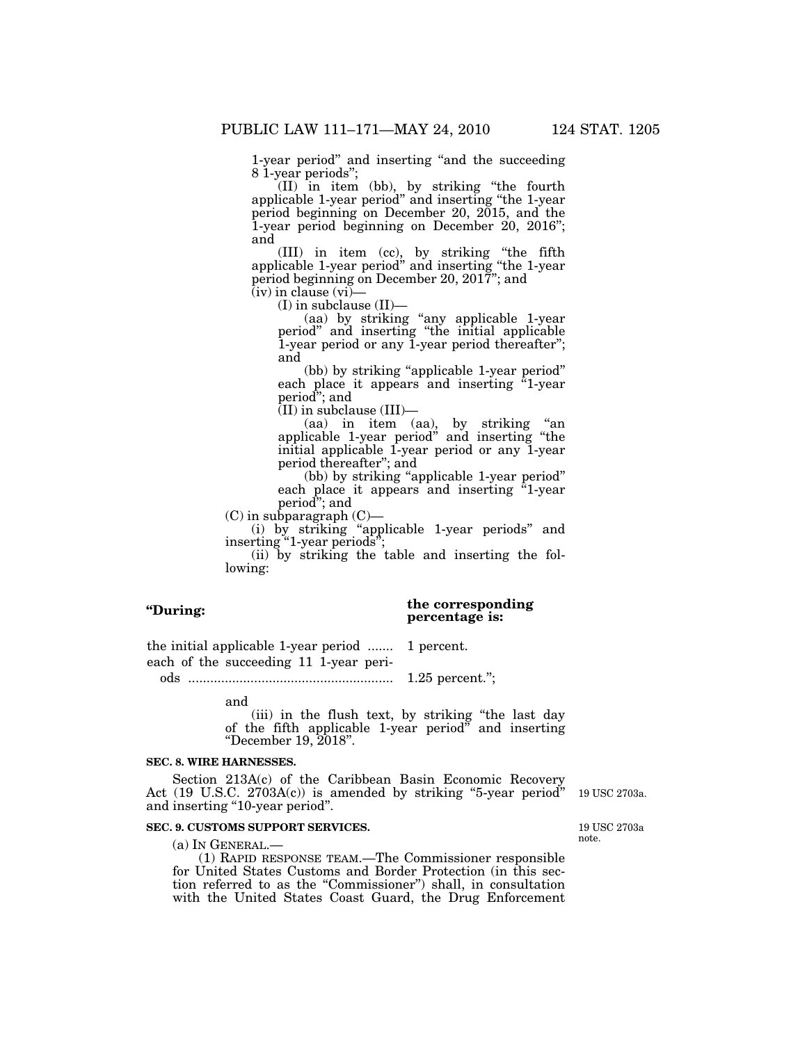1-year period'' and inserting ''and the succeeding 8 1-year periods'';

(II) in item (bb), by striking ''the fourth applicable 1-year period'' and inserting ''the 1-year period beginning on December 20, 2015, and the 1-year period beginning on December 20, 2016''; and

(III) in item (cc), by striking ''the fifth applicable 1-year period'' and inserting ''the 1-year period beginning on December 20, 2017''; and  $(iv)$  in clause  $(vi)$ —

(I) in subclause (II)—

(aa) by striking ''any applicable 1-year period'' and inserting ''the initial applicable 1-year period or any 1-year period thereafter''; and

(bb) by striking "applicable 1-year period" each place it appears and inserting "1-year period''; and  $\overline{(\text{II})}$  in subclause  $(\text{III})$ —

(aa) in item (aa), by striking ''an applicable 1-year period'' and inserting ''the initial applicable 1-year period or any 1-year period thereafter''; and

(bb) by striking "applicable 1-year period" each place it appears and inserting "1-year period''; and

(C) in subparagraph (C)—

(i) by striking ''applicable 1-year periods'' and inserting "1-year periods";

(ii) by striking the table and inserting the following:

| "During: |
|----------|
|          |
|          |

# **the corresponding percentage is:**

the initial applicable 1-year period ....... 1 percent. each of the succeeding 11 1-year peri-

ods ........................................................ 1.25 percent.'';

and

(iii) in the flush text, by striking ''the last day of the fifth applicable 1-year period'' and inserting ''December 19, 2018''.

# **SEC. 8. WIRE HARNESSES.**

Section 213A(c) of the Caribbean Basin Economic Recovery Act (19 U.S.C. 2703A(c)) is amended by striking "5-year period" and inserting "10-year period".

# **SEC. 9. CUSTOMS SUPPORT SERVICES.**

(a) IN GENERAL.—

(1) RAPID RESPONSE TEAM.—The Commissioner responsible for United States Customs and Border Protection (in this section referred to as the ''Commissioner'') shall, in consultation with the United States Coast Guard, the Drug Enforcement

19 USC 2703a.

19 USC 2703a note.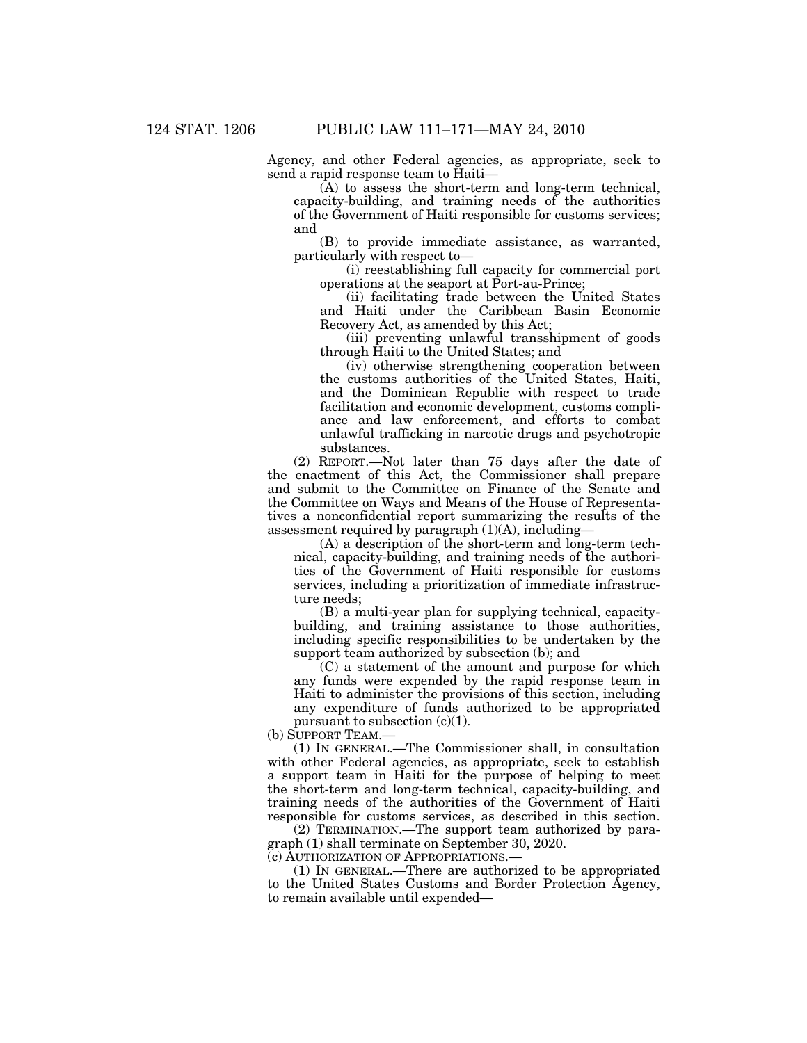Agency, and other Federal agencies, as appropriate, seek to send a rapid response team to Haiti—

(A) to assess the short-term and long-term technical, capacity-building, and training needs of the authorities of the Government of Haiti responsible for customs services; and

(B) to provide immediate assistance, as warranted, particularly with respect to—

(i) reestablishing full capacity for commercial port operations at the seaport at Port-au-Prince;

(ii) facilitating trade between the United States and Haiti under the Caribbean Basin Economic Recovery Act, as amended by this Act;

(iii) preventing unlawful transshipment of goods through Haiti to the United States; and

(iv) otherwise strengthening cooperation between the customs authorities of the United States, Haiti, and the Dominican Republic with respect to trade facilitation and economic development, customs compliance and law enforcement, and efforts to combat unlawful trafficking in narcotic drugs and psychotropic substances.

(2) REPORT.—Not later than 75 days after the date of the enactment of this Act, the Commissioner shall prepare and submit to the Committee on Finance of the Senate and the Committee on Ways and Means of the House of Representatives a nonconfidential report summarizing the results of the assessment required by paragraph  $(1)(A)$ , including—

(A) a description of the short-term and long-term technical, capacity-building, and training needs of the authorities of the Government of Haiti responsible for customs services, including a prioritization of immediate infrastructure needs;

(B) a multi-year plan for supplying technical, capacitybuilding, and training assistance to those authorities, including specific responsibilities to be undertaken by the support team authorized by subsection (b); and

(C) a statement of the amount and purpose for which any funds were expended by the rapid response team in Haiti to administer the provisions of this section, including any expenditure of funds authorized to be appropriated pursuant to subsection  $(c)(1)$ .

(b) SUPPORT TEAM.—

(1) IN GENERAL.—The Commissioner shall, in consultation with other Federal agencies, as appropriate, seek to establish a support team in Haiti for the purpose of helping to meet the short-term and long-term technical, capacity-building, and training needs of the authorities of the Government of Haiti responsible for customs services, as described in this section.

(2) TERMINATION.—The support team authorized by paragraph (1) shall terminate on September 30, 2020.

(c) AUTHORIZATION OF APPROPRIATIONS.—

(1) IN GENERAL.—There are authorized to be appropriated to the United States Customs and Border Protection Agency, to remain available until expended—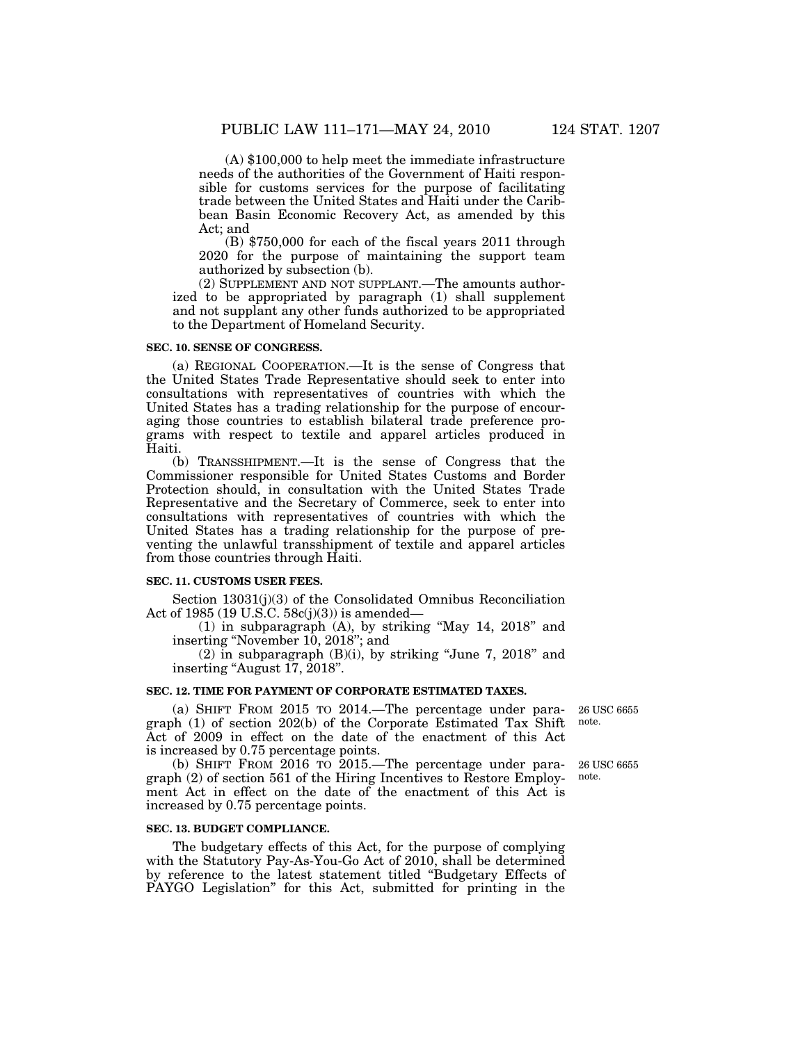(A) \$100,000 to help meet the immediate infrastructure needs of the authorities of the Government of Haiti responsible for customs services for the purpose of facilitating trade between the United States and Haiti under the Caribbean Basin Economic Recovery Act, as amended by this Act; and

(B) \$750,000 for each of the fiscal years 2011 through 2020 for the purpose of maintaining the support team authorized by subsection (b).

(2) SUPPLEMENT AND NOT SUPPLANT.—The amounts authorized to be appropriated by paragraph (1) shall supplement and not supplant any other funds authorized to be appropriated to the Department of Homeland Security.

#### **SEC. 10. SENSE OF CONGRESS.**

(a) REGIONAL COOPERATION.—It is the sense of Congress that the United States Trade Representative should seek to enter into consultations with representatives of countries with which the United States has a trading relationship for the purpose of encour-<br>aging those countries to establish bilateral trade preference proaging those countries to establish bilateral trade preference programs with respect to textile and apparel articles produced in Haiti.

(b) TRANSSHIPMENT.—It is the sense of Congress that the Commissioner responsible for United States Customs and Border Protection should, in consultation with the United States Trade Representative and the Secretary of Commerce, seek to enter into consultations with representatives of countries with which the United States has a trading relationship for the purpose of preventing the unlawful transshipment of textile and apparel articles from those countries through Haiti.

## **SEC. 11. CUSTOMS USER FEES.**

Section 13031(j)(3) of the Consolidated Omnibus Reconciliation Act of 1985 (19 U.S.C.  $58c(j)(3)$ ) is amended—

(1) in subparagraph (A), by striking ''May 14, 2018'' and inserting ''November 10, 2018''; and

 $(2)$  in subparagraph  $(B)(i)$ , by striking "June 7, 2018" and inserting "August 17, 2018".

## **SEC. 12. TIME FOR PAYMENT OF CORPORATE ESTIMATED TAXES.**

(a) SHIFT FROM 2015 TO 2014.—The percentage under paragraph (1) of section 202(b) of the Corporate Estimated Tax Shift Act of 2009 in effect on the date of the enactment of this Act is increased by 0.75 percentage points.

(b) SHIFT FROM 2016 TO 2015.—The percentage under paragraph (2) of section 561 of the Hiring Incentives to Restore Employment Act in effect on the date of the enactment of this Act is increased by 0.75 percentage points.

#### **SEC. 13. BUDGET COMPLIANCE.**

The budgetary effects of this Act, for the purpose of complying with the Statutory Pay-As-You-Go Act of 2010, shall be determined by reference to the latest statement titled ''Budgetary Effects of PAYGO Legislation'' for this Act, submitted for printing in the

26 USC 6655 note.

26 USC 6655 note.